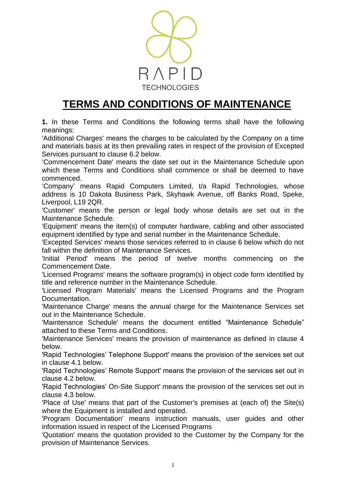

## **TERMS AND CONDITIONS OF MAINTENANCE**

**1.** In these Terms and Conditions the following terms shall have the following meanings:

'Additional Charges' means the charges to be calculated by the Company on a time and materials basis at its then prevailing rates in respect of the provision of Excepted Services pursuant to clause 6.2 below.

'Commencement Date' means the date set out in the Maintenance Schedule upon which these Terms and Conditions shall commence or shall be deemed to have commenced.

'Company' means Rapid Computers Limited, t/a Rapid Technologies, whose address is 10 Dakota Business Park, Skyhawk Avenue, off Banks Road, Speke, Liverpool, L19 2QR.

'Customer' means the person or legal body whose details are set out in the Maintenance Schedule.

'Equipment' means the item(s) of computer hardware, cabling and other associated equipment identified by type and serial number in the Maintenance Schedule.

'Excepted Services' means those services referred to in clause 6 below which do not fall within the definition of Maintenance Services.

'Initial Period' means the period of twelve months commencing on the Commencement Date.

'Licensed Programs' means the software program(s) in object code form identified by title and reference number in the Maintenance Schedule.

'Licensed Program Materials' means the Licensed Programs and the Program Documentation.

'Maintenance Charge' means the annual charge for the Maintenance Services set out in the Maintenance Schedule.

'Maintenance Schedule' means the document entitled "Maintenance Schedule" attached to these Terms and Conditions.

'Maintenance Services' means the provision of maintenance as defined in clause 4 below.

'Rapid Technologies' Telephone Support' means the provision of the services set out in clause 4.1 below.

'Rapid Technologies' Remote Support' means the provision of the services set out in clause 4.2 below.

'Rapid Technologies' On-Site Support' means the provision of the services set out in clause 4.3 below.

'Place of Use' means that part of the Customer's premises at (each of) the Site(s) where the Equipment is installed and operated.

'Program Documentation' means instruction manuals, user guides and other information issued in respect of the Licensed Programs

'Quotation' means the quotation provided to the Customer by the Company for the provision of Maintenance Services.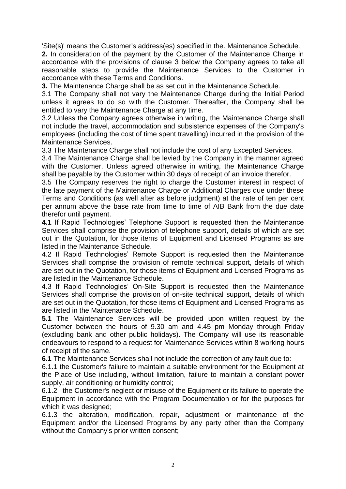'Site(s)' means the Customer's address(es) specified in the. Maintenance Schedule.

**2.** In consideration of the payment by the Customer of the Maintenance Charge in accordance with the provisions of clause 3 below the Company agrees to take all reasonable steps to provide the Maintenance Services to the Customer in accordance with these Terms and Conditions.

**3.** The Maintenance Charge shall be as set out in the Maintenance Schedule.

3.1 The Company shall not vary the Maintenance Charge during the Initial Period unless it agrees to do so with the Customer. Thereafter, the Company shall be entitled to vary the Maintenance Charge at any time.

3.2 Unless the Company agrees otherwise in writing, the Maintenance Charge shall not include the travel, accommodation and subsistence expenses of the Company's employees (including the cost of time spent travelling) incurred in the provision of the Maintenance Services.

3.3 The Maintenance Charge shall not include the cost of any Excepted Services.

3.4 The Maintenance Charge shall be levied by the Company in the manner agreed with the Customer. Unless agreed otherwise in writing, the Maintenance Charge shall be payable by the Customer within 30 days of receipt of an invoice therefor.

3.5 The Company reserves the right to charge the Customer interest in respect of the late payment of the Maintenance Charge or Additional Charges due under these Terms and Conditions (as well after as before judgment) at the rate of ten per cent per annum above the base rate from time to time of AIB Bank from the due date therefor until payment.

**4.1** If Rapid Technologies' Telephone Support is requested then the Maintenance Services shall comprise the provision of telephone support, details of which are set out in the Quotation, for those items of Equipment and Licensed Programs as are listed in the Maintenance Schedule.

4.2 If Rapid Technologies' Remote Support is requested then the Maintenance Services shall comprise the provision of remote technical support, details of which are set out in the Quotation, for those items of Equipment and Licensed Programs as are listed in the Maintenance Schedule.

4.3 If Rapid Technologies' On-Site Support is requested then the Maintenance Services shall comprise the provision of on-site technical support, details of which are set out in the Quotation, for those items of Equipment and Licensed Programs as are listed in the Maintenance Schedule.

**5.1** The Maintenance Services will be provided upon written request by the Customer between the hours of 9.30 am and 4.45 pm Monday through Friday (excluding bank and other public holidays). The Company will use its reasonable endeavours to respond to a request for Maintenance Services within 8 working hours of receipt of the same.

**6.1** The Maintenance Services shall not include the correction of any fault due to:

6.1.1 the Customer's failure to maintain a suitable environment for the Equipment at the Place of Use including, without limitation, failure to maintain a constant power supply, air conditioning or humidity control;

 6.1.2 the Customer's neglect or misuse of the Equipment or its failure to operate the Equipment in accordance with the Program Documentation or for the purposes for which it was designed;

6.1.3 the alteration, modification, repair, adjustment or maintenance of the Equipment and/or the Licensed Programs by any party other than the Company without the Company's prior written consent;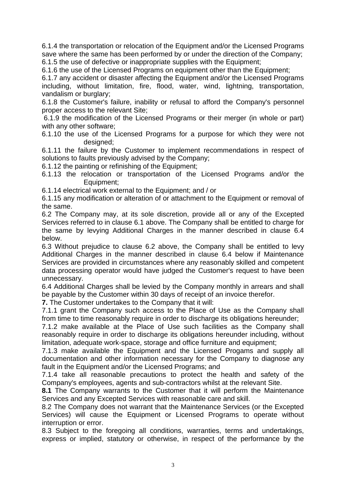6.1.4 the transportation or relocation of the Equipment and/or the Licensed Programs save where the same has been performed by or under the direction of the Company; 6.1.5 the use of defective or inappropriate supplies with the Equipment;

6.1.6 the use of the Licensed Programs on equipment other than the Equipment;

6.1.7 any accident or disaster affecting the Equipment and/or the Licensed Programs including, without limitation, fire, flood, water, wind, lightning, transportation, vandalism or burglary;

6.1.8 the Customer's failure, inability or refusal to afford the Company's personnel proper access to the relevant Site;

 6.1.9 the modification of the Licensed Programs or their merger (in whole or part) with any other software;

6.1.10 the use of the Licensed Programs for a purpose for which they were not designed;

6.1.11 the failure by the Customer to implement recommendations in respect of solutions to faults previously advised by the Company;

6.1.12 the painting or refinishing of the Equipment;

6.1.13 the relocation or transportation of the Licensed Programs and/or the Equipment;

6.1.14 electrical work external to the Equipment; and / or

6.1.15 any modification or alteration of or attachment to the Equipment or removal of the same.

6.2 The Company may, at its sole discretion, provide all or any of the Excepted Services referred to in clause 6.1 above. The Company shall be entitled to charge for the same by levying Additional Charges in the manner described in clause 6.4 below.

6.3 Without prejudice to clause 6.2 above, the Company shall be entitled to levy Additional Charges in the manner described in clause 6.4 below if Maintenance Services are provided in circumstances where any reasonably skilled and competent data processing operator would have judged the Customer's request to have been unnecessary.

6.4 Additional Charges shall be levied by the Company monthly in arrears and shall be payable by the Customer within 30 days of receipt of an invoice therefor.

**7.** The Customer undertakes to the Company that it will:

7.1.1 grant the Company such access to the Place of Use as the Company shall from time to time reasonably require in order to discharge its obligations hereunder;

7.1.2 make available at the Place of Use such facilities as the Company shall reasonably require in order to discharge its obligations hereunder including, without limitation, adequate work-space, storage and office furniture and equipment;

7.1.3 make available the Equipment and the Licensed Progams and supply all documentation and other information necessary for the Company to diagnose any fault in the Equipment and/or the Licensed Programs; and

7.1.4 take all reasonable precautions to protect the health and safety of the Company's employees, agents and sub-contractors whilst at the relevant Site.

**8.1** The Company warrants to the Customer that it will perform the Maintenance Services and any Excepted Services with reasonable care and skill.

8.2 The Company does not warrant that the Maintenance Services (or the Excepted Services) will cause the Equipment or Licensed Programs to operate without interruption or error.

8.3 Subject to the foregoing all conditions, warranties, terms and undertakings, express or implied, statutory or otherwise, in respect of the performance by the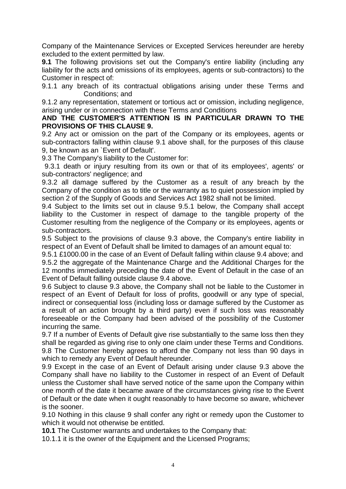Company of the Maintenance Services or Excepted Services hereunder are hereby excluded to the extent permitted by law.

**9.1** The following provisions set out the Company's entire liability (including any liability for the acts and omissions of its employees, agents or sub-contractors) to the Customer in respect of:

9.1.1 any breach of its contractual obligations arising under these Terms and Conditions; and

9.1.2 any representation, statement or tortious act or omission, including negligence, arising under or in connection with these Terms and Conditions

## **AND THE CUSTOMER'S ATTENTION IS IN PARTICULAR DRAWN TO THE PROVISIONS OF THIS CLAUSE 9.**

9.2 Any act or omission on the part of the Company or its employees, agents or sub-contractors falling within clause 9.1 above shall, for the purposes of this clause 9, be known as an `Event of Default'.

9.3 The Company's liability to the Customer for:

 9.3.1 death or injury resulting from its own or that of its employees', agents' or sub-contractors' negligence; and

9.3.2 all damage suffered by the Customer as a result of any breach by the Company of the condition as to title or the warranty as to quiet possession implied by section 2 of the Supply of Goods and Services Act 1982 shall not be limited.

9.4 Subject to the limits set out in clause 9.5.1 below, the Company shall accept liability to the Customer in respect of damage to the tangible property of the Customer resulting from the negligence of the Company or its employees, agents or sub-contractors.

9.5 Subject to the provisions of clause 9.3 above, the Company's entire liability in respect of an Event of Default shall be limited to damages of an amount equal to:

9.5.1 £1000.00 in the case of an Event of Default falling within clause 9.4 above; and 9.5.2 the aggregate of the Maintenance Charge and the Additional Charges for the 12 months immediately preceding the date of the Event of Default in the case of an Event of Default falling outside clause 9.4 above.

9.6 Subject to clause 9.3 above, the Company shall not be liable to the Customer in respect of an Event of Default for loss of profits, goodwill or any type of special, indirect or consequential loss (including loss or damage suffered by the Customer as a result of an action brought by a third party) even if such loss was reasonably foreseeable or the Company had been advised of the possibility of the Customer incurring the same.

9.7 If a number of Events of Default give rise substantially to the same loss then they shall be regarded as giving rise to only one claim under these Terms and Conditions. 9.8 The Customer hereby agrees to afford the Company not less than 90 days in which to remedy any Event of Default hereunder.

9.9 Except in the case of an Event of Default arising under clause 9.3 above the Company shall have no liability to the Customer in respect of an Event of Default unless the Customer shall have served notice of the same upon the Company within one month of the date it became aware of the circumstances giving rise to the Event of Default or the date when it ought reasonably to have become so aware, whichever is the sooner.

9.10 Nothing in this clause 9 shall confer any right or remedy upon the Customer to which it would not otherwise be entitled.

**10.1** The Customer warrants and undertakes to the Company that:

10.1.1 it is the owner of the Equipment and the Licensed Programs;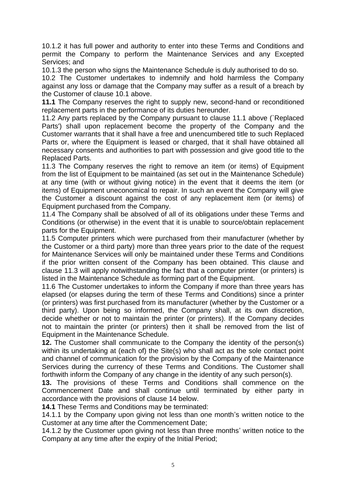10.1.2 it has full power and authority to enter into these Terms and Conditions and permit the Company to perform the Maintenance Services and any Excepted Services; and

10.1.3 the person who signs the Maintenance Schedule is duly authorised to do so.

10.2 The Customer undertakes to indemnify and hold harmless the Company against any loss or damage that the Company may suffer as a result of a breach by the Customer of clause 10.1 above.

**11.1** The Company reserves the right to supply new, second-hand or reconditioned replacement parts in the performance of its duties hereunder.

11.2 Any parts replaced by the Company pursuant to clause 11.1 above (`Replaced Parts') shall upon replacement become the property of the Company and the Customer warrants that it shall have a free and unencumbered title to such Replaced Parts or, where the Equipment is leased or charged, that it shall have obtained all necessary consents and authorities to part with possession and give good title to the Replaced Parts.

11.3 The Company reserves the right to remove an item (or items) of Equipment from the list of Equipment to be maintained (as set out in the Maintenance Schedule) at any time (with or without giving notice) in the event that it deems the item (or items) of Equipment uneconomical to repair. In such an event the Company will give the Customer a discount against the cost of any replacement item (or items) of Equipment purchased from the Company.

11.4 The Company shall be absolved of all of its obligations under these Terms and Conditions (or otherwise) in the event that it is unable to source/obtain replacement parts for the Equipment.

11.5 Computer printers which were purchased from their manufacturer (whether by the Customer or a third party) more than three years prior to the date of the request for Maintenance Services will only be maintained under these Terms and Conditions if the prior written consent of the Company has been obtained. This clause and clause 11.3 will apply notwithstanding the fact that a computer printer (or printers) is listed in the Maintenance Schedule as forming part of the Equipment.

11.6 The Customer undertakes to inform the Company if more than three years has elapsed (or elapses during the term of these Terms and Conditions) since a printer (or printers) was first purchased from its manufacturer (whether by the Customer or a third party). Upon being so informed, the Company shall, at its own discretion, decide whether or not to maintain the printer (or printers). If the Company decides not to maintain the printer (or printers) then it shall be removed from the list of Equipment in the Maintenance Schedule.

**12.** The Customer shall communicate to the Company the identity of the person(s) within its undertaking at (each of) the Site(s) who shall act as the sole contact point and channel of communication for the provision by the Company of the Maintenance Services during the currency of these Terms and Conditions. The Customer shall forthwith inform the Company of any change in the identity of any such person(s).

**13.** The provisions of these Terms and Conditions shall commence on the Commencement Date and shall continue until terminated by either party in accordance with the provisions of clause 14 below.

**14.1** These Terms and Conditions may be terminated:

14.1.1 by the Company upon giving not less than one month's written notice to the Customer at any time after the Commencement Date;

14.1.2 by the Customer upon giving not less than three months' written notice to the Company at any time after the expiry of the Initial Period;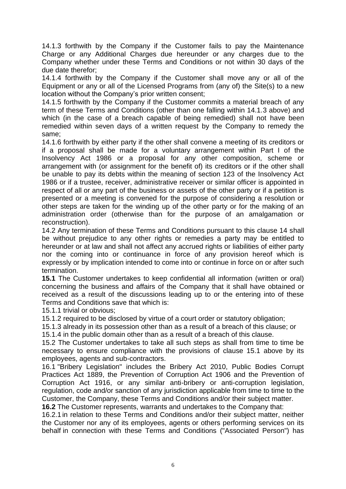14.1.3 forthwith by the Company if the Customer fails to pay the Maintenance Charge or any Additional Charges due hereunder or any charges due to the Company whether under these Terms and Conditions or not within 30 days of the due date therefor;

14.1.4 forthwith by the Company if the Customer shall move any or all of the Equipment or any or all of the Licensed Programs from (any of) the Site(s) to a new location without the Company's prior written consent;

14.1.5 forthwith by the Company if the Customer commits a material breach of any term of these Terms and Conditions (other than one falling within 14.1.3 above) and which (in the case of a breach capable of being remedied) shall not have been remedied within seven days of a written request by the Company to remedy the same;

14.1.6 forthwith by either party if the other shall convene a meeting of its creditors or if a proposal shall be made for a voluntary arrangement within Part I of the Insolvency Act 1986 or a proposal for any other composition, scheme or arrangement with (or assignment for the benefit of) its creditors or if the other shall be unable to pay its debts within the meaning of section 123 of the Insolvency Act 1986 or if a trustee, receiver, administrative receiver or similar officer is appointed in respect of all or any part of the business or assets of the other party or if a petition is presented or a meeting is convened for the purpose of considering a resolution or other steps are taken for the winding up of the other party or for the making of an administration order (otherwise than for the purpose of an amalgamation or reconstruction).

14.2 Any termination of these Terms and Conditions pursuant to this clause 14 shall be without prejudice to any other rights or remedies a party may be entitled to hereunder or at law and shall not affect any accrued rights or liabilities of either party nor the coming into or continuance in force of any provision hereof which is expressly or by implication intended to come into or continue in force on or after such termination.

**15.1** The Customer undertakes to keep confidential all information (written or oral) concerning the business and affairs of the Company that it shall have obtained or received as a result of the discussions leading up to or the entering into of these Terms and Conditions save that which is:

15.1.1 trivial or obvious;

15.1.2 required to be disclosed by virtue of a court order or statutory obligation;

15.1.3 already in its possession other than as a result of a breach of this clause; or

15.1.4 in the public domain other than as a result of a breach of this clause.

15.2 The Customer undertakes to take all such steps as shall from time to time be necessary to ensure compliance with the provisions of clause 15.1 above by its employees, agents and sub-contractors.

16.1 "Bribery Legislation" includes the Bribery Act 2010, Public Bodies Corrupt Practices Act 1889, the Prevention of Corruption Act 1906 and the Prevention of Corruption Act 1916, or any similar anti-bribery or anti-corruption legislation, regulation, code and/or sanction of any jurisdiction applicable from time to time to the Customer, the Company, these Terms and Conditions and/or their subject matter.

**16.2** The Customer represents, warrants and undertakes to the Company that:

16.2.1 in relation to these Terms and Conditions and/or their subject matter, neither the Customer nor any of its employees, agents or others performing services on its behalf in connection with these Terms and Conditions ("Associated Person") has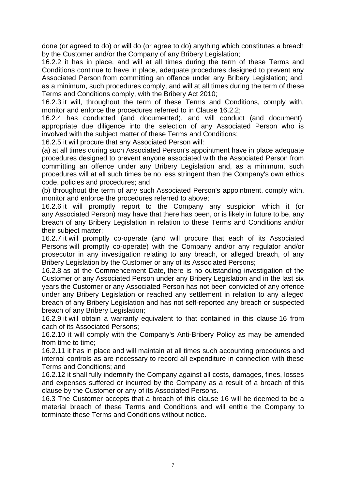done (or agreed to do) or will do (or agree to do) anything which constitutes a breach by the Customer and/or the Company of any Bribery Legislation;

16.2.2 it has in place, and will at all times during the term of these Terms and Conditions continue to have in place, adequate procedures designed to prevent any Associated Person from committing an offence under any Bribery Legislation; and, as a minimum, such procedures comply, and will at all times during the term of these Terms and Conditions comply, with the Bribery Act 2010;

16.2.3 it will, throughout the term of these Terms and Conditions, comply with, monitor and enforce the procedures referred to in Clause 16.2.2;

16.2.4 has conducted (and documented), and will conduct (and document), appropriate due diligence into the selection of any Associated Person who is involved with the subject matter of these Terms and Conditions;

16.2.5 it will procure that any Associated Person will:

(a) at all times during such Associated Person's appointment have in place adequate procedures designed to prevent anyone associated with the Associated Person from committing an offence under any Bribery Legislation and, as a minimum, such procedures will at all such times be no less stringent than the Company's own ethics code, policies and procedures; and

(b) throughout the term of any such Associated Person's appointment, comply with, monitor and enforce the procedures referred to above;

16.2.6 it will promptly report to the Company any suspicion which it (or any Associated Person) may have that there has been, or is likely in future to be, any breach of any Bribery Legislation in relation to these Terms and Conditions and/or their subject matter;

16.2.7 it will promptly co-operate (and will procure that each of its Associated Persons will promptly co-operate) with the Company and/or any regulator and/or prosecutor in any investigation relating to any breach, or alleged breach, of any Bribery Legislation by the Customer or any of its Associated Persons;

16.2.8 as at the Commencement Date, there is no outstanding investigation of the Customer or any Associated Person under any Bribery Legislation and in the last six years the Customer or any Associated Person has not been convicted of any offence under any Bribery Legislation or reached any settlement in relation to any alleged breach of any Bribery Legislation and has not self-reported any breach or suspected breach of any Bribery Legislation;

16.2.9 it will obtain a warranty equivalent to that contained in this clause 16 from each of its Associated Persons;

16.2.10 it will comply with the Company's Anti-Bribery Policy as may be amended from time to time;

16.2.11 it has in place and will maintain at all times such accounting procedures and internal controls as are necessary to record all expenditure in connection with these Terms and Conditions; and

16.2.12 it shall fully indemnify the Company against all costs, damages, fines, losses and expenses suffered or incurred by the Company as a result of a breach of this clause by the Customer or any of its Associated Persons.

16.3 The Customer accepts that a breach of this clause 16 will be deemed to be a material breach of these Terms and Conditions and will entitle the Company to terminate these Terms and Conditions without notice.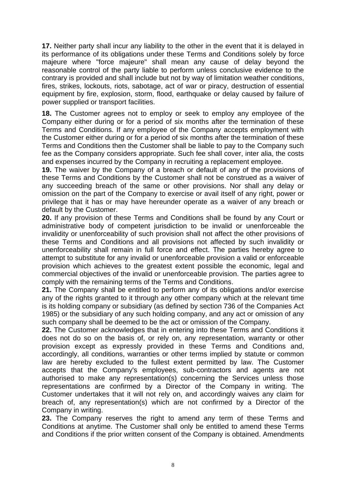**17.** Neither party shall incur any liability to the other in the event that it is delayed in its performance of its obligations under these Terms and Conditions solely by force majeure where "force majeure" shall mean any cause of delay beyond the reasonable control of the party liable to perform unless conclusive evidence to the contrary is provided and shall include but not by way of limitation weather conditions, fires, strikes, lockouts, riots, sabotage, act of war or piracy, destruction of essential equipment by fire, explosion, storm, flood, earthquake or delay caused by failure of power supplied or transport facilities.

**18.** The Customer agrees not to employ or seek to employ any employee of the Company either during or for a period of six months after the termination of these Terms and Conditions. If any employee of the Company accepts employment with the Customer either during or for a period of six months after the termination of these Terms and Conditions then the Customer shall be liable to pay to the Company such fee as the Company considers appropriate. Such fee shall cover, inter alia, the costs and expenses incurred by the Company in recruiting a replacement employee.

**19.** The waiver by the Company of a breach or default of any of the provisions of these Terms and Conditions by the Customer shall not be construed as a waiver of any succeeding breach of the same or other provisions. Nor shall any delay or omission on the part of the Company to exercise or avail itself of any right, power or privilege that it has or may have hereunder operate as a waiver of any breach or default by the Customer.

**20.** If any provision of these Terms and Conditions shall be found by any Court or administrative body of competent jurisdiction to be invalid or unenforceable the invalidity or unenforceability of such provision shall not affect the other provisions of these Terms and Conditions and all provisions not affected by such invalidity or unenforceability shall remain in full force and effect. The parties hereby agree to attempt to substitute for any invalid or unenforceable provision a valid or enforceable provision which achieves to the greatest extent possible the economic, legal and commercial objectives of the invalid or unenforceable provision. The parties agree to comply with the remaining terms of the Terms and Conditions.

**21.** The Company shall be entitled to perform any of its obligations and/or exercise any of the rights granted to it through any other company which at the relevant time is its holding company or subsidiary (as defined by section 736 of the Companies Act 1985) or the subsidiary of any such holding company, and any act or omission of any such company shall be deemed to be the act or omission of the Company.

**22.** The Customer acknowledges that in entering into these Terms and Conditions it does not do so on the basis of, or rely on, any representation, warranty or other provision except as expressly provided in these Terms and Conditions and, accordingly, all conditions, warranties or other terms implied by statute or common law are hereby excluded to the fullest extent permitted by law. The Customer accepts that the Company's employees, sub-contractors and agents are not authorised to make any representation(s) concerning the Services unless those representations are confirmed by a Director of the Company in writing. The Customer undertakes that it will not rely on, and accordingly waives any claim for breach of, any representation(s) which are not confirmed by a Director of the Company in writing.

**23.** The Company reserves the right to amend any term of these Terms and Conditions at anytime. The Customer shall only be entitled to amend these Terms and Conditions if the prior written consent of the Company is obtained. Amendments